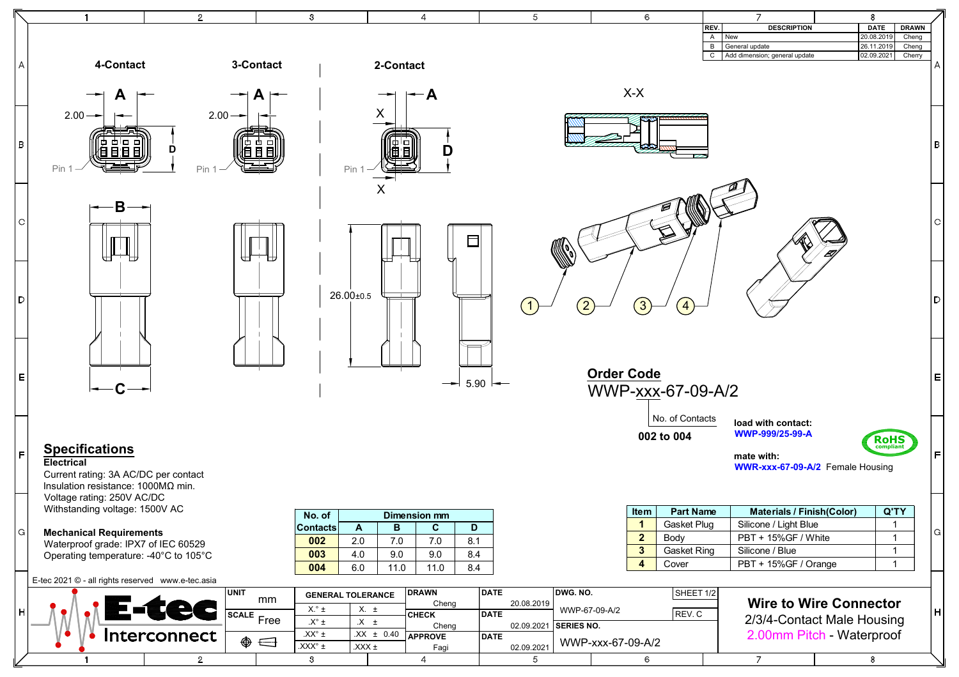